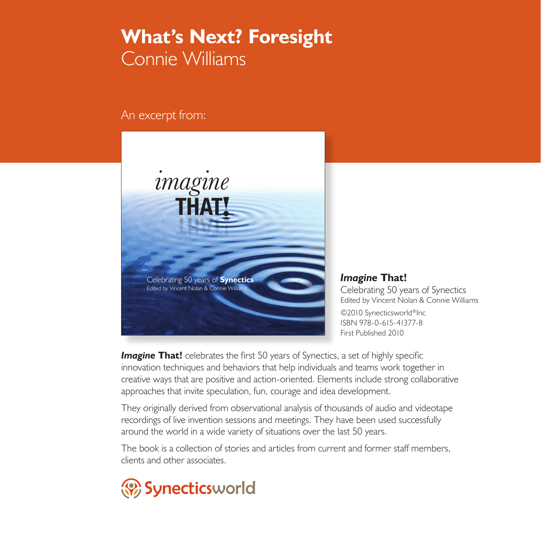## **What's Next? Foresight** Connie Williams

An excerpt from:



*Imagine* **That!** Celebrating 50 years of Synectics Edited by Vincent Nolan & Connie Williams ©2010 Synecticsworld®Inc ISBN 978-0-615-41377-8 First Published 2010

**Imagine That!** celebrates the first 50 years of Synectics, a set of highly specific innovation techniques and behaviors that help individuals and teams work together in creative ways that are positive and action-oriented. Elements include strong collaborative approaches that invite speculation, fun, courage and idea development.

They originally derived from observational analysis of thousands of audio and videotape recordings of live invention sessions and meetings. They have been used successfully around the world in a wide variety of situations over the last 50 years.

The book is a collection of stories and articles from current and former staff members, clients and other associates.

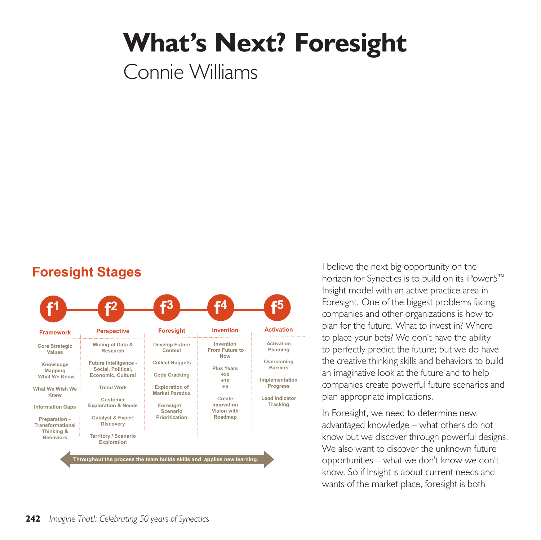## **What's Next? Foresight**

Connie Williams

## **Foresight Stages**



I believe the next big opportunity on the horizon for Synectics is to build on its iPower5™ Insight model with an active practice area in Foresight. One of the biggest problems facing companies and other organizations is how to plan for the future. What to invest in? Where to place your bets? We don't have the ability to perfectly predict the future; but we do have the creative thinking skills and behaviors to build an imaginative look at the future and to help companies create powerful future scenarios and plan appropriate implications.

In Foresight, we need to determine new, advantaged knowledge – what others do not know but we discover through powerful designs. We also want to discover the unknown future opportunities – what we don't know we don't know. So if Insight is about current needs and wants of the market place, foresight is both